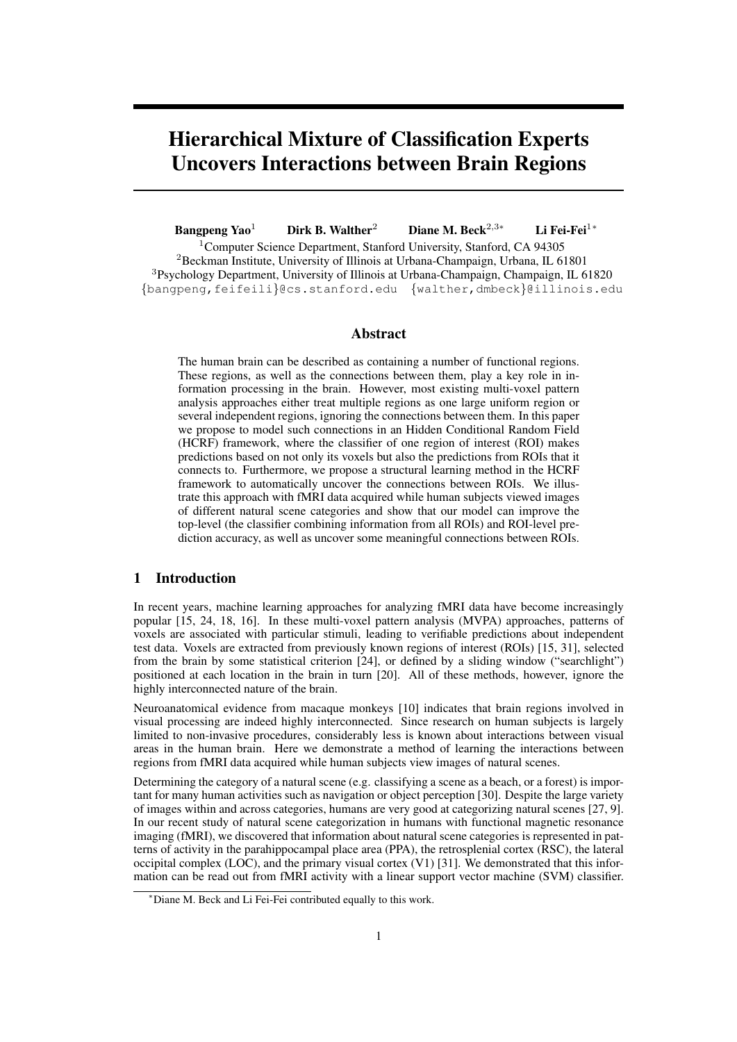# Hierarchical Mixture of Classification Experts Uncovers Interactions between Brain Regions

Bangpeng Yao<sup>1</sup> Dirk B. Walther<sup>2</sup> Diane M. Beck<sup>2</sup>*,*3*<sup>∗</sup>* Li Fei-Fei<sup>1</sup>*<sup>∗</sup>*

<sup>1</sup>Computer Science Department, Stanford University, Stanford, CA 94305  ${}^{2}$ Beckman Institute, University of Illinois at Urbana-Champaign, Urbana, IL 61801 <sup>3</sup>Psychology Department, University of Illinois at Urbana-Champaign, Champaign, IL 61820 *{*bangpeng,feifeili*}*@cs.stanford.edu *{*walther,dmbeck*}*@illinois.edu

# Abstract

The human brain can be described as containing a number of functional regions. These regions, as well as the connections between them, play a key role in information processing in the brain. However, most existing multi-voxel pattern analysis approaches either treat multiple regions as one large uniform region or several independent regions, ignoring the connections between them. In this paper we propose to model such connections in an Hidden Conditional Random Field (HCRF) framework, where the classifier of one region of interest (ROI) makes predictions based on not only its voxels but also the predictions from ROIs that it connects to. Furthermore, we propose a structural learning method in the HCRF framework to automatically uncover the connections between ROIs. We illustrate this approach with fMRI data acquired while human subjects viewed images of different natural scene categories and show that our model can improve the top-level (the classifier combining information from all ROIs) and ROI-level prediction accuracy, as well as uncover some meaningful connections between ROIs.

# 1 Introduction

In recent years, machine learning approaches for analyzing fMRI data have become increasingly popular [15, 24, 18, 16]. In these multi-voxel pattern analysis (MVPA) approaches, patterns of voxels are associated with particular stimuli, leading to verifiable predictions about independent test data. Voxels are extracted from previously known regions of interest (ROIs) [15, 31], selected from the brain by some statistical criterion [24], or defined by a sliding window ("searchlight") positioned at each location in the brain in turn [20]. All of these methods, however, ignore the highly interconnected nature of the brain.

Neuroanatomical evidence from macaque monkeys [10] indicates that brain regions involved in visual processing are indeed highly interconnected. Since research on human subjects is largely limited to non-invasive procedures, considerably less is known about interactions between visual areas in the human brain. Here we demonstrate a method of learning the interactions between regions from fMRI data acquired while human subjects view images of natural scenes.

Determining the category of a natural scene (e.g. classifying a scene as a beach, or a forest) is important for many human activities such as navigation or object perception [30]. Despite the large variety of images within and across categories, humans are very good at categorizing natural scenes [27, 9]. In our recent study of natural scene categorization in humans with functional magnetic resonance imaging (fMRI), we discovered that information about natural scene categories is represented in patterns of activity in the parahippocampal place area (PPA), the retrosplenial cortex (RSC), the lateral occipital complex (LOC), and the primary visual cortex (V1) [31]. We demonstrated that this information can be read out from fMRI activity with a linear support vector machine (SVM) classifier.

*<sup>∗</sup>*Diane M. Beck and Li Fei-Fei contributed equally to this work.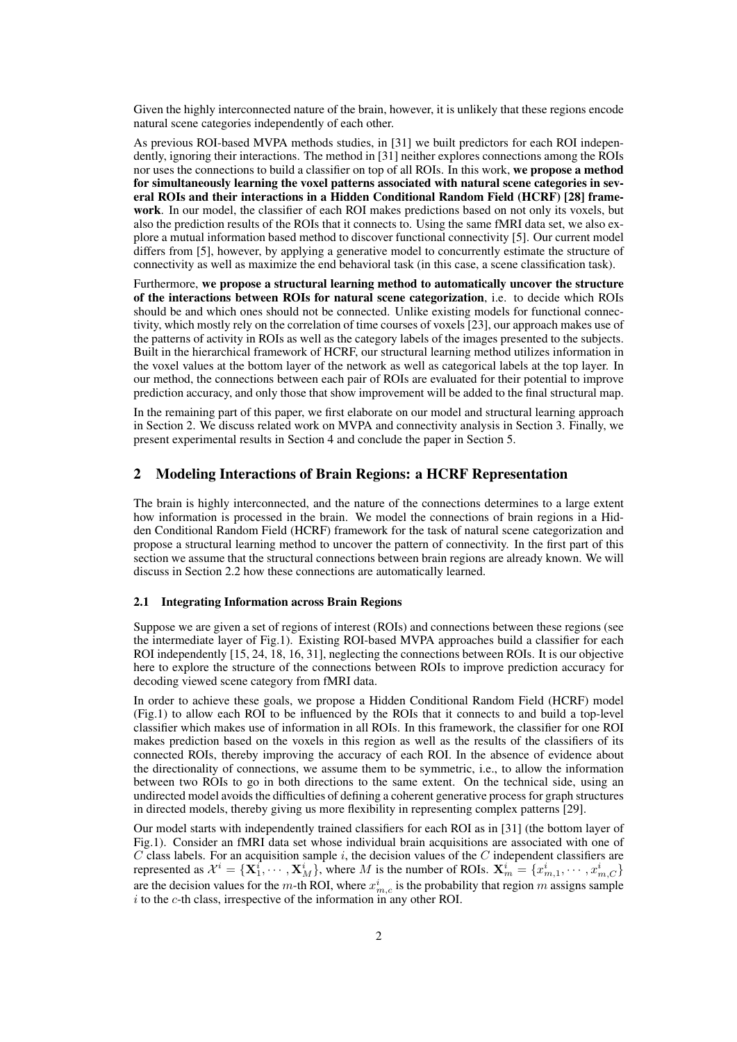Given the highly interconnected nature of the brain, however, it is unlikely that these regions encode natural scene categories independently of each other.

As previous ROI-based MVPA methods studies, in [31] we built predictors for each ROI independently, ignoring their interactions. The method in [31] neither explores connections among the ROIs nor uses the connections to build a classifier on top of all ROIs. In this work, we propose a method for simultaneously learning the voxel patterns associated with natural scene categories in several ROIs and their interactions in a Hidden Conditional Random Field (HCRF) [28] framework. In our model, the classifier of each ROI makes predictions based on not only its voxels, but also the prediction results of the ROIs that it connects to. Using the same fMRI data set, we also explore a mutual information based method to discover functional connectivity [5]. Our current model differs from [5], however, by applying a generative model to concurrently estimate the structure of connectivity as well as maximize the end behavioral task (in this case, a scene classification task).

Furthermore, we propose a structural learning method to automatically uncover the structure of the interactions between ROIs for natural scene categorization, i.e. to decide which ROIs should be and which ones should not be connected. Unlike existing models for functional connectivity, which mostly rely on the correlation of time courses of voxels [23], our approach makes use of the patterns of activity in ROIs as well as the category labels of the images presented to the subjects. Built in the hierarchical framework of HCRF, our structural learning method utilizes information in the voxel values at the bottom layer of the network as well as categorical labels at the top layer. In our method, the connections between each pair of ROIs are evaluated for their potential to improve prediction accuracy, and only those that show improvement will be added to the final structural map.

In the remaining part of this paper, we first elaborate on our model and structural learning approach in Section 2. We discuss related work on MVPA and connectivity analysis in Section 3. Finally, we present experimental results in Section 4 and conclude the paper in Section 5.

# 2 Modeling Interactions of Brain Regions: a HCRF Representation

The brain is highly interconnected, and the nature of the connections determines to a large extent how information is processed in the brain. We model the connections of brain regions in a Hidden Conditional Random Field (HCRF) framework for the task of natural scene categorization and propose a structural learning method to uncover the pattern of connectivity. In the first part of this section we assume that the structural connections between brain regions are already known. We will discuss in Section 2.2 how these connections are automatically learned.

## 2.1 Integrating Information across Brain Regions

Suppose we are given a set of regions of interest (ROIs) and connections between these regions (see the intermediate layer of Fig.1). Existing ROI-based MVPA approaches build a classifier for each ROI independently [15, 24, 18, 16, 31], neglecting the connections between ROIs. It is our objective here to explore the structure of the connections between ROIs to improve prediction accuracy for decoding viewed scene category from fMRI data.

In order to achieve these goals, we propose a Hidden Conditional Random Field (HCRF) model (Fig.1) to allow each ROI to be influenced by the ROIs that it connects to and build a top-level classifier which makes use of information in all ROIs. In this framework, the classifier for one ROI makes prediction based on the voxels in this region as well as the results of the classifiers of its connected ROIs, thereby improving the accuracy of each ROI. In the absence of evidence about the directionality of connections, we assume them to be symmetric, i.e., to allow the information between two ROIs to go in both directions to the same extent. On the technical side, using an undirected model avoids the difficulties of defining a coherent generative process for graph structures in directed models, thereby giving us more flexibility in representing complex patterns [29].

Our model starts with independently trained classifiers for each ROI as in [31] (the bottom layer of Fig.1). Consider an fMRI data set whose individual brain acquisitions are associated with one of C class labels. For an acquisition sample i, the decision values of the C independent classifiers are represented as  $\mathcal{X}^i = {\mathbf{X}^i_1, \cdots, \mathbf{X}^i_M}$ , where M is the number of ROIs.  $\mathbf{X}^i_m = \{x^i_{m,1}, \cdots, x^i_{m,C}\}$ are the decision values for the  $m$ -th ROI, where  $x_{m,c}^i$  is the probability that region  $m$  assigns sample  $i$  to the  $c$ -th class, irrespective of the information in any other ROI.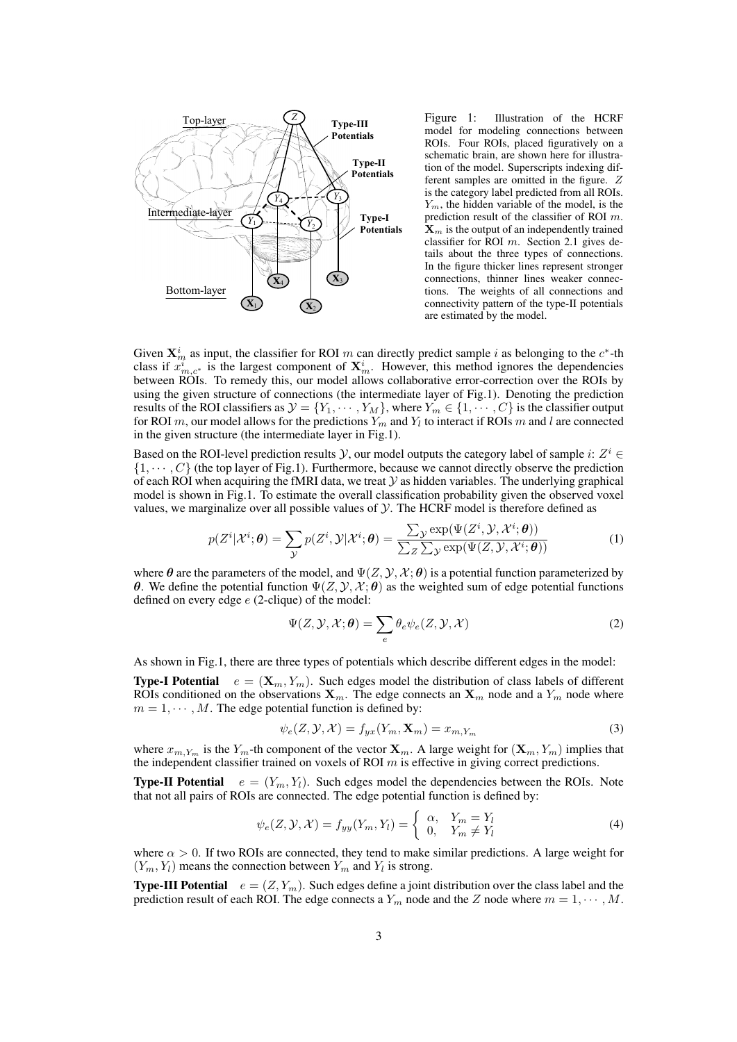

Figure 1: Illustration of the HCRF model for modeling connections between ROIs. Four ROIs, placed figuratively on a schematic brain, are shown here for illustration of the model. Superscripts indexing different samples are omitted in the figure. Z is the category label predicted from all ROIs.  $Y_m$ , the hidden variable of the model, is the prediction result of the classifier of ROI  $m$ .  $\mathbf{X}_m$  is the output of an independently trained classifier for ROI  $m$ . Section 2.1 gives details about the three types of connections. In the figure thicker lines represent stronger connections, thinner lines weaker connections. The weights of all connections and connectivity pattern of the type-II potentials are estimated by the model.

Given  $\mathbf{X}_m^i$  as input, the classifier for ROI m can directly predict sample i as belonging to the  $c^*$ -th class if  $x_{m,c}^i$  is the largest component of  $X_m^i$ . However, this method ignores the dependencies between ROIs. To remedy this, our model allows collaborative error-correction over the ROIs by using the given structure of connections (the intermediate layer of Fig.1). Denoting the prediction results of the ROI classifiers as  $\mathcal{Y} = \{Y_1, \cdots, Y_M\}$ , where  $Y_m \in \{1, \cdots, C\}$  is the classifier output for ROI m, our model allows for the predictions  $Y_m$  and  $Y_l$  to interact if ROIs m and l are connected in the given structure (the intermediate layer in Fig.1).

Based on the ROI-level prediction results  $\mathcal{Y}$ , our model outputs the category label of sample *i*:  $Z^i$   $\in$ *{*1*, ⋅ ⋅ ⋅ , }* (the top layer of Fig.1). Furthermore, because we cannot directly observe the prediction of each ROI when acquiring the fMRI data, we treat  $\mathcal Y$  as hidden variables. The underlying graphical model is shown in Fig.1. To estimate the overall classification probability given the observed voxel values, we marginalize over all possible values of  $Y$ . The HCRF model is therefore defined as

$$
p(Z^i|\mathcal{X}^i;\boldsymbol{\theta}) = \sum_{\mathcal{Y}} p(Z^i,\mathcal{Y}|\mathcal{X}^i;\boldsymbol{\theta}) = \frac{\sum_{\mathcal{Y}} \exp(\Psi(Z^i,\mathcal{Y},\mathcal{X}^i;\boldsymbol{\theta}))}{\sum_{Z} \sum_{\mathcal{Y}} \exp(\Psi(Z,\mathcal{Y},\mathcal{X}^i;\boldsymbol{\theta}))}
$$
(1)

where  $\theta$  are the parameters of the model, and  $\Psi(Z, \mathcal{Y}, \mathcal{X}; \theta)$  is a potential function parameterized by **θ**. We define the potential function  $Ψ(Z, Y, X; θ)$  as the weighted sum of edge potential functions defined on every edge  $e$  (2-clique) of the model:

$$
\Psi(Z, \mathcal{Y}, \mathcal{X}; \boldsymbol{\theta}) = \sum_{e} \theta_e \psi_e(Z, \mathcal{Y}, \mathcal{X})
$$
\n(2)

As shown in Fig.1, there are three types of potentials which describe different edges in the model:

**Type-I Potential**  $e = (\mathbf{X}_m, Y_m)$ . Such edges model the distribution of class labels of different ROIs conditioned on the observations  $\mathbf{X}_m$ . The edge connects an  $\mathbf{X}_m$  node and a  $Y_m$  node where  $m = 1, \dots, M$ . The edge potential function is defined by:

$$
\psi_e(Z, \mathcal{Y}, \mathcal{X}) = f_{yx}(Y_m, \mathbf{X}_m) = x_{m, Y_m} \tag{3}
$$

where  $x_{m, Y_m}$  is the  $Y_m$ -th component of the vector  $\mathbf{X}_m$ . A large weight for  $(\mathbf{X}_m, Y_m)$  implies that the independent classifier trained on voxels of ROI  $m$  is effective in giving correct predictions.

**Type-II Potential**  $e = (Y_m, Y_l)$ . Such edges model the dependencies between the ROIs. Note that not all pairs of ROIs are connected. The edge potential function is defined by:

$$
\psi_e(Z, \mathcal{Y}, \mathcal{X}) = f_{yy}(Y_m, Y_l) = \begin{cases} \alpha, & Y_m = Y_l \\ 0, & Y_m \neq Y_l \end{cases}
$$
(4)

where  $\alpha > 0$ . If two ROIs are connected, they tend to make similar predictions. A large weight for  $(Y_m, Y_l)$  means the connection between  $Y_m$  and  $Y_l$  is strong.

**Type-III Potential**  $e = (Z, Y_m)$ . Such edges define a joint distribution over the class label and the prediction result of each ROI. The edge connects a  $Y_m$  node and the Z node where  $m = 1, \dots, M$ .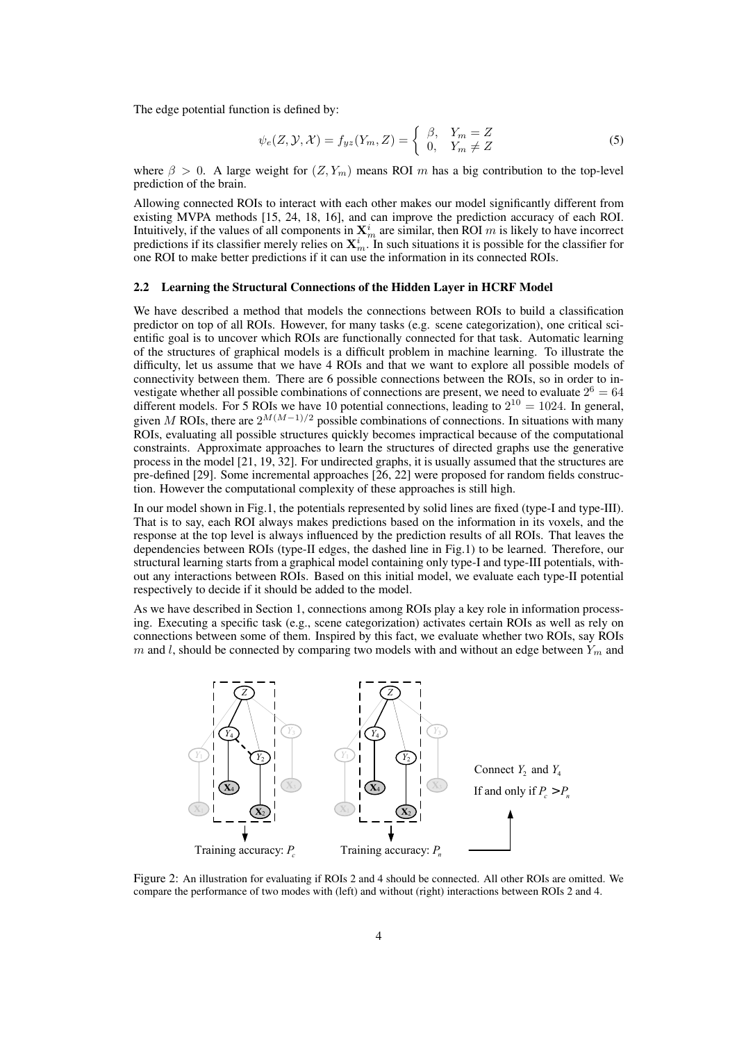The edge potential function is defined by:

$$
\psi_e(Z, \mathcal{Y}, \mathcal{X}) = f_{yz}(Y_m, Z) = \begin{cases} \beta, & Y_m = Z \\ 0, & Y_m \neq Z \end{cases}
$$
 (5)

where  $\beta > 0$ . A large weight for  $(Z, Y_m)$  means ROI m has a big contribution to the top-level prediction of the brain.

Allowing connected ROIs to interact with each other makes our model significantly different from existing MVPA methods [15, 24, 18, 16], and can improve the prediction accuracy of each ROI. Intuitively, if the values of all components in  $\mathbf{X}_m^i$  are similar, then ROI m is likely to have incorrect predictions if its classifier merely relies on  $\mathbf{X}_m^i$ . In such situations it is possible for the classifier for one ROI to make better predictions if it can use the information in its connected ROIs.

## 2.2 Learning the Structural Connections of the Hidden Layer in HCRF Model

We have described a method that models the connections between ROIs to build a classification predictor on top of all ROIs. However, for many tasks (e.g. scene categorization), one critical scientific goal is to uncover which ROIs are functionally connected for that task. Automatic learning of the structures of graphical models is a difficult problem in machine learning. To illustrate the difficulty, let us assume that we have 4 ROIs and that we want to explore all possible models of connectivity between them. There are 6 possible connections between the ROIs, so in order to investigate whether all possible combinations of connections are present, we need to evaluate  $2^6 = 64$ different models. For 5 ROIs we have 10 potential connections, leading to  $2^{10} = 1024$ . In general, given M ROIs, there are  $2^{M(M-1)/2}$  possible combinations of connections. In situations with many ROIs, evaluating all possible structures quickly becomes impractical because of the computational constraints. Approximate approaches to learn the structures of directed graphs use the generative process in the model [21, 19, 32]. For undirected graphs, it is usually assumed that the structures are pre-defined [29]. Some incremental approaches [26, 22] were proposed for random fields construction. However the computational complexity of these approaches is still high.

In our model shown in Fig.1, the potentials represented by solid lines are fixed (type-I and type-III). That is to say, each ROI always makes predictions based on the information in its voxels, and the response at the top level is always influenced by the prediction results of all ROIs. That leaves the dependencies between ROIs (type-II edges, the dashed line in Fig.1) to be learned. Therefore, our structural learning starts from a graphical model containing only type-I and type-III potentials, without any interactions between ROIs. Based on this initial model, we evaluate each type-II potential respectively to decide if it should be added to the model.

As we have described in Section 1, connections among ROIs play a key role in information processing. Executing a specific task (e.g., scene categorization) activates certain ROIs as well as rely on connections between some of them. Inspired by this fact, we evaluate whether two ROIs, say ROIs m and l, should be connected by comparing two models with and without an edge between  $Y_m$  and



Figure 2: An illustration for evaluating if ROIs 2 and 4 should be connected. All other ROIs are omitted. We compare the performance of two modes with (left) and without (right) interactions between ROIs 2 and 4.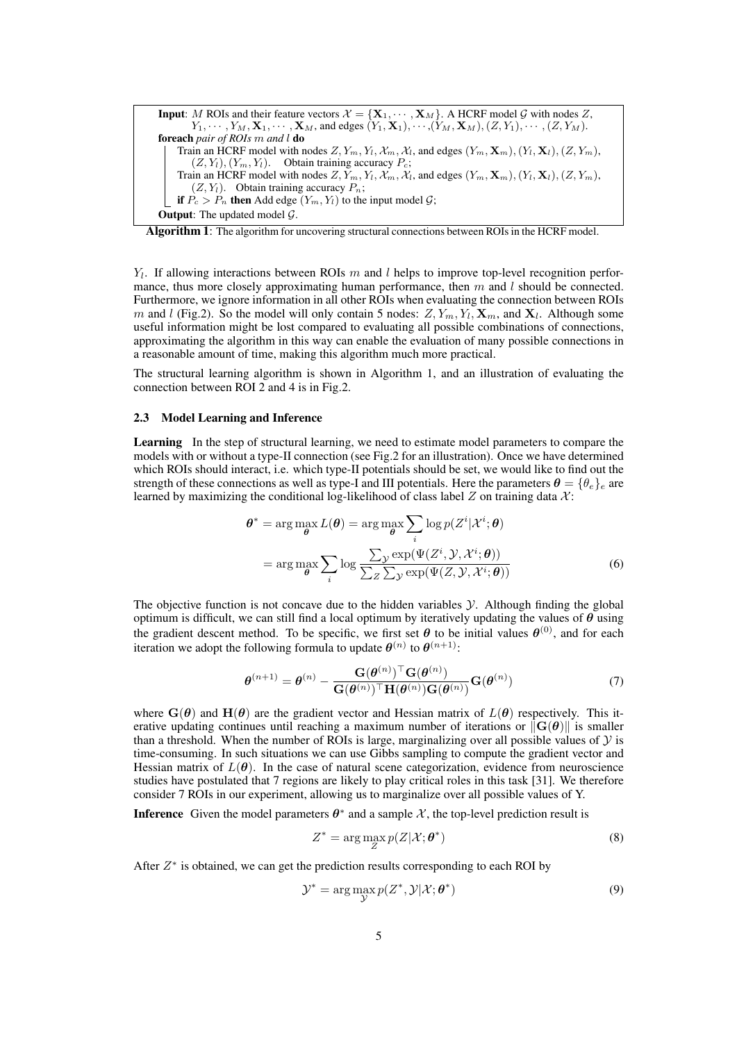**Input:** *M* ROIs and their feature vectors  $\mathcal{X} = \{X_1, \dots, X_M\}$ . A HCRF model G with nodes Z,  $Y_1, \cdots, Y_M, \mathbf{X}_1, \cdots, \mathbf{X}_M$ , and edges  $(Y_1, \mathbf{X}_1), \cdots, (Y_M, \mathbf{X}_M), (Z, Y_1), \cdots, (Z, Y_M)$ . foreach *pair of ROIs m and* l do Train an HCRF model with nodes  $Z, Y_m, Y_l, \mathcal{X}_m, \mathcal{X}_l$ , and edges  $(Y_m, \mathbf{X}_m), (Y_l, \mathbf{X}_l), (Z, Y_m),$  $(Z, Y_l)$ ,  $(Y_m, Y_l)$ . Obtain training accuracy  $P_c$ ; Train an HCRF model with nodes  $Z, Y_m, Y_l, \mathcal{X}_m, \mathcal{X}_l$ , and edges  $(Y_m, \mathbf{X}_m), (Y_l, \mathbf{X}_l), (Z, Y_m),$  $(Z, Y_l)$ . Obtain training accuracy  $P_n$ ; if  $P_c > P_n$  then Add edge  $(Y_m, Y_l)$  to the input model  $G$ ; **Output:** The updated model  $\mathcal{G}$ .



 $Y_l$ . If allowing interactions between ROIs  $m$  and  $l$  helps to improve top-level recognition performance, thus more closely approximating human performance, then  $m$  and  $l$  should be connected. Furthermore, we ignore information in all other ROIs when evaluating the connection between ROIs *m* and *l* (Fig.2). So the model will only contain 5 nodes:  $Z, Y_m, Y_l, \mathbf{X}_m$ , and  $\mathbf{X}_l$ . Although some useful information might be lost compared to evaluating all possible combinations of connections, approximating the algorithm in this way can enable the evaluation of many possible connections in a reasonable amount of time, making this algorithm much more practical.

The structural learning algorithm is shown in Algorithm 1, and an illustration of evaluating the connection between ROI 2 and 4 is in Fig.2.

## 2.3 Model Learning and Inference

Learning In the step of structural learning, we need to estimate model parameters to compare the models with or without a type-II connection (see Fig.2 for an illustration). Once we have determined which ROIs should interact, i.e. which type-II potentials should be set, we would like to find out the strength of these connections as well as type-I and III potentials. Here the parameters  $\theta = \{\theta_e\}_e$  are learned by maximizing the conditional log-likelihood of class label  $Z$  on training data  $\mathcal{X}$ :

$$
\theta^* = \arg \max_{\theta} L(\theta) = \arg \max_{\theta} \sum_{i} \log p(Z^i | \mathcal{X}^i; \theta)
$$

$$
= \arg \max_{\theta} \sum_{i} \log \frac{\sum_{\mathcal{Y}} \exp(\Psi(Z^i, \mathcal{Y}, \mathcal{X}^i; \theta))}{\sum_{Z} \sum_{\mathcal{Y}} \exp(\Psi(Z, \mathcal{Y}, \mathcal{X}^i; \theta))}
$$
(6)

The objective function is not concave due to the hidden variables  $\mathcal Y$ . Although finding the global optimum is difficult, we can still find a local optimum by iteratively updating the values of  $\theta$  using the gradient descent method. To be specific, we first set  $\theta$  to be initial values  $\theta^{(0)}$ , and for each iteration we adopt the following formula to update  $\theta^{(n)}$  to  $\theta^{(n+1)}$ :

$$
\boldsymbol{\theta}^{(n+1)} = \boldsymbol{\theta}^{(n)} - \frac{\mathbf{G}(\boldsymbol{\theta}^{(n)})^{\top}\mathbf{G}(\boldsymbol{\theta}^{(n)})}{\mathbf{G}(\boldsymbol{\theta}^{(n)})^{\top}\mathbf{H}(\boldsymbol{\theta}^{(n)})\mathbf{G}(\boldsymbol{\theta}^{(n)})}\mathbf{G}(\boldsymbol{\theta}^{(n)})
$$
(7)

where  $\mathbf{G}(\theta)$  and  $\mathbf{H}(\theta)$  are the gradient vector and Hessian matrix of  $L(\theta)$  respectively. This iterative updating continues until reaching a maximum number of iterations or  $||\mathbf{G}(\theta)||$  is smaller than a threshold. When the number of ROIs is large, marginalizing over all possible values of  $\mathcal Y$  is time-consuming. In such situations we can use Gibbs sampling to compute the gradient vector and Hessian matrix of  $L(\theta)$ . In the case of natural scene categorization, evidence from neuroscience studies have postulated that 7 regions are likely to play critical roles in this task [31]. We therefore consider 7 ROIs in our experiment, allowing us to marginalize over all possible values of Y.

**Inference** Given the model parameters  $\theta^*$  and a sample X, the top-level prediction result is

$$
Z^* = \arg\max_{Z} p(Z|\mathcal{X}; \boldsymbol{\theta}^*)
$$
\n(8)

After  $Z^*$  is obtained, we can get the prediction results corresponding to each ROI by

$$
\mathcal{Y}^* = \arg\max_{\mathcal{Y}} p(Z^*, \mathcal{Y} | \mathcal{X}; \boldsymbol{\theta}^*)
$$
(9)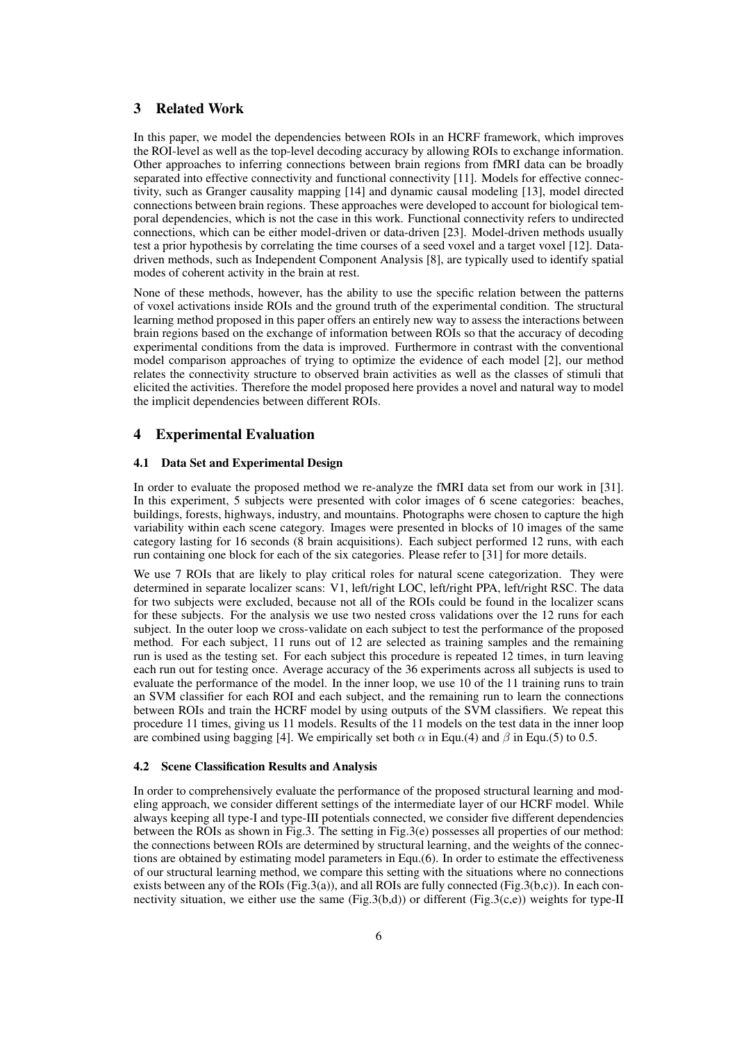# 3 Related Work

In this paper, we model the dependencies between ROIs in an HCRF framework, which improves the ROI-level as well as the top-level decoding accuracy by allowing ROIs to exchange information. Other approaches to inferring connections between brain regions from fMRI data can be broadly separated into effective connectivity and functional connectivity [11]. Models for effective connectivity, such as Granger causality mapping [14] and dynamic causal modeling [13], model directed connections between brain regions. These approaches were developed to account for biological temporal dependencies, which is not the case in this work. Functional connectivity refers to undirected connections, which can be either model-driven or data-driven [23]. Model-driven methods usually test a prior hypothesis by correlating the time courses of a seed voxel and a target voxel [12]. Datadriven methods, such as Independent Component Analysis [8], are typically used to identify spatial modes of coherent activity in the brain at rest.

None of these methods, however, has the ability to use the specific relation between the patterns of voxel activations inside ROIs and the ground truth of the experimental condition. The structural learning method proposed in this paper offers an entirely new way to assess the interactions between brain regions based on the exchange of information between ROIs so that the accuracy of decoding experimental conditions from the data is improved. Furthermore in contrast with the conventional model comparison approaches of trying to optimize the evidence of each model [2], our method relates the connectivity structure to observed brain activities as well as the classes of stimuli that elicited the activities. Therefore the model proposed here provides a novel and natural way to model the implicit dependencies between different ROIs.

## 4 Experimental Evaluation

#### 4.1 Data Set and Experimental Design

In order to evaluate the proposed method we re-analyze the fMRI data set from our work in [31]. In this experiment, 5 subjects were presented with color images of 6 scene categories: beaches, buildings, forests, highways, industry, and mountains. Photographs were chosen to capture the high variability within each scene category. Images were presented in blocks of 10 images of the same category lasting for 16 seconds (8 brain acquisitions). Each subject performed 12 runs, with each run containing one block for each of the six categories. Please refer to [31] for more details.

We use 7 ROIs that are likely to play critical roles for natural scene categorization. They were determined in separate localizer scans: V1, left/right LOC, left/right PPA, left/right RSC. The data for two subjects were excluded, because not all of the ROIs could be found in the localizer scans for these subjects. For the analysis we use two nested cross validations over the 12 runs for each subject. In the outer loop we cross-validate on each subject to test the performance of the proposed method. For each subject, 11 runs out of 12 are selected as training samples and the remaining run is used as the testing set. For each subject this procedure is repeated 12 times, in turn leaving each run out for testing once. Average accuracy of the 36 experiments across all subjects is used to evaluate the performance of the model. In the inner loop, we use 10 of the 11 training runs to train an SVM classifier for each ROI and each subject, and the remaining run to learn the connections between ROIs and train the HCRF model by using outputs of the SVM classifiers. We repeat this procedure 11 times, giving us 11 models. Results of the 11 models on the test data in the inner loop are combined using bagging [4]. We empirically set both  $\alpha$  in Equ.(4) and  $\beta$  in Equ.(5) to 0.5.

#### 4.2 Scene Classification Results and Analysis

In order to comprehensively evaluate the performance of the proposed structural learning and modeling approach, we consider different settings of the intermediate layer of our HCRF model. While always keeping all type-I and type-III potentials connected, we consider five different dependencies between the ROIs as shown in Fig.3. The setting in Fig.3(e) possesses all properties of our method: the connections between ROIs are determined by structural learning, and the weights of the connections are obtained by estimating model parameters in Equ.(6). In order to estimate the effectiveness of our structural learning method, we compare this setting with the situations where no connections exists between any of the ROIs (Fig.3(a)), and all ROIs are fully connected (Fig.3(b,c)). In each connectivity situation, we either use the same (Fig.3(b,d)) or different (Fig.3(c,e)) weights for type-II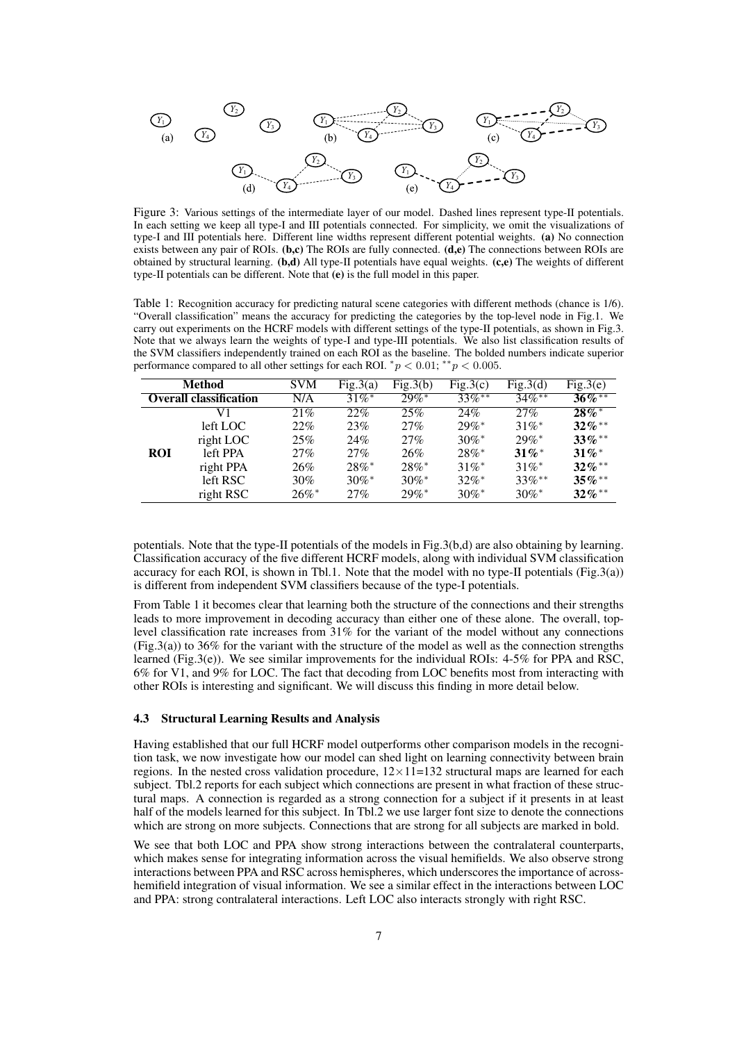

Figure 3: Various settings of the intermediate layer of our model. Dashed lines represent type-II potentials. In each setting we keep all type-I and III potentials connected. For simplicity, we omit the visualizations of type-I and III potentials here. Different line widths represent different potential weights. (a) No connection exists between any pair of ROIs.  $(b,c)$  The ROIs are fully connected.  $(d,e)$  The connections between ROIs are obtained by structural learning. (b,d) All type-II potentials have equal weights. (c,e) The weights of different type-II potentials can be different. Note that (e) is the full model in this paper.

Table 1: Recognition accuracy for predicting natural scene categories with different methods (chance is 1/6). "Overall classification" means the accuracy for predicting the categories by the top-level node in Fig.1. We carry out experiments on the HCRF models with different settings of the type-II potentials, as shown in Fig.3. Note that we always learn the weights of type-I and type-III potentials. We also list classification results of the SVM classifiers independently trained on each ROI as the baseline. The bolded numbers indicate superior performance compared to all other settings for each ROI.  $^*p < 0.01$ ;  $^{**}p < 0.005$ .

| Method                        |           | <b>SVM</b>          | Fig.3(a)            | Fig.3(b)            | Fig.3(c)             | Fig.3(d)             | Fig.3(e)             |
|-------------------------------|-----------|---------------------|---------------------|---------------------|----------------------|----------------------|----------------------|
| <b>Overall classification</b> |           | N/A                 | $31\%$ <sup>*</sup> | $29\%$ <sup>*</sup> | $33\%$ <sup>**</sup> | $34\%$ <sup>**</sup> | $36\%^{**}$          |
|                               | V1        | 21%                 | 22%                 | 25%                 | 24%                  | 27%                  | $28\%$ <sup>*</sup>  |
|                               | left LOC  | $22\%$              | 23%                 | 27%                 | $29\%$ <sup>*</sup>  | $31\%$ <sup>*</sup>  | $32\%$ <sup>**</sup> |
|                               | right LOC | 25%                 | 24%                 | $27\%$              | $30\%$ *             | $29\%$ <sup>*</sup>  | $33\%$ <sup>**</sup> |
| <b>ROI</b>                    | left PPA  | $27\%$              | 27%                 | 26%                 | $28\%$ <sup>*</sup>  | $31\%$ <sup>*</sup>  | $31\%$ <sup>*</sup>  |
|                               | right PPA | 26%                 | $28\%$ <sup>*</sup> | $28\%$ <sup>*</sup> | $31\%$ *             | $31\%$ *             | $32\%$ <sup>**</sup> |
|                               | left RSC  | $30\%$              | $30\%$ *            | $30\%$ *            | $32\%$ *             | $33\%$ **            | $35\%$ **            |
|                               | right RSC | $26\%$ <sup>*</sup> | 27%                 | $29\%$ <sup>*</sup> | $30\%$ *             | $30\%$ <sup>*</sup>  | $32\%$ <sup>**</sup> |

potentials. Note that the type-II potentials of the models in Fig.3(b,d) are also obtaining by learning. Classification accuracy of the five different HCRF models, along with individual SVM classification accuracy for each ROI, is shown in Tbl.1. Note that the model with no type-II potentials (Fig.3(a)) is different from independent SVM classifiers because of the type-I potentials.

From Table 1 it becomes clear that learning both the structure of the connections and their strengths leads to more improvement in decoding accuracy than either one of these alone. The overall, toplevel classification rate increases from 31% for the variant of the model without any connections (Fig.3(a)) to 36% for the variant with the structure of the model as well as the connection strengths learned (Fig.3(e)). We see similar improvements for the individual ROIs: 4-5% for PPA and RSC, 6% for V1, and 9% for LOC. The fact that decoding from LOC benefits most from interacting with other ROIs is interesting and significant. We will discuss this finding in more detail below.

## 4.3 Structural Learning Results and Analysis

Having established that our full HCRF model outperforms other comparison models in the recognition task, we now investigate how our model can shed light on learning connectivity between brain regions. In the nested cross validation procedure,  $12 \times 11 = 132$  structural maps are learned for each subject. Tbl.2 reports for each subject which connections are present in what fraction of these structural maps. A connection is regarded as a strong connection for a subject if it presents in at least half of the models learned for this subject. In Tbl.2 we use larger font size to denote the connections which are strong on more subjects. Connections that are strong for all subjects are marked in bold.

We see that both LOC and PPA show strong interactions between the contralateral counterparts, which makes sense for integrating information across the visual hemifields. We also observe strong interactions between PPA and RSC across hemispheres, which underscores the importance of acrosshemifield integration of visual information. We see a similar effect in the interactions between LOC and PPA: strong contralateral interactions. Left LOC also interacts strongly with right RSC.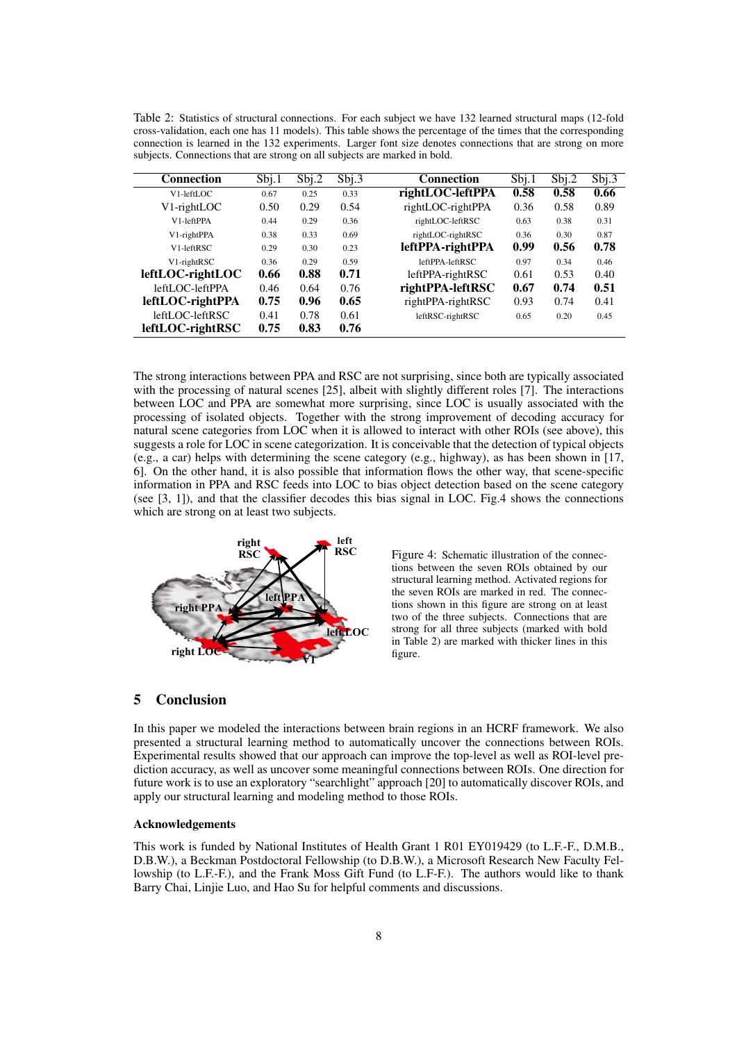Table 2: Statistics of structural connections. For each subject we have 132 learned structural maps (12-fold cross-validation, each one has 11 models). This table shows the percentage of the times that the corresponding connection is learned in the 132 experiments. Larger font size denotes connections that are strong on more subjects. Connections that are strong on all subjects are marked in bold.

| <b>Connection</b> | Sbj.1 | Sbj.2 | Sbj.3 | <b>Connection</b> | Sbj.1 | Sbj.2 | Sbj.3 |
|-------------------|-------|-------|-------|-------------------|-------|-------|-------|
| V1-leftLOC        | 0.67  | 0.25  | 0.33  | rightLOC-leftPPA  | 0.58  | 0.58  | 0.66  |
| V1-rightLOC       | 0.50  | 0.29  | 0.54  | rightLOC-rightPPA | 0.36  | 0.58  | 0.89  |
| V1-leftPPA        | 0.44  | 0.29  | 0.36  | rightLOC-leftRSC  | 0.63  | 0.38  | 0.31  |
| V1-rightPPA       | 0.38  | 0.33  | 0.69  | rightLOC-rightRSC | 0.36  | 0.30  | 0.87  |
| V1-leftRSC        | 0.29  | 0.30  | 0.23  | leftPPA-rightPPA  | 0.99  | 0.56  | 0.78  |
| V1-rightRSC       | 0.36  | 0.29  | 0.59  | $leftPPA-leftRSC$ | 0.97  | 0.34  | 0.46  |
| leftLOC-rightLOC  | 0.66  | 0.88  | 0.71  | leftPPA-rightRSC  | 0.61  | 0.53  | 0.40  |
| leftLOC-leftPPA   | 0.46  | 0.64  | 0.76  | rightPPA-leftRSC  | 0.67  | 0.74  | 0.51  |
| leftLOC-rightPPA  | 0.75  | 0.96  | 0.65  | rightPPA-rightRSC | 0.93  | 0.74  | 0.41  |
| leftLOC-leftRSC   | 0.41  | 0.78  | 0.61  | leftRSC-rightRSC  | 0.65  | 0.20  | 0.45  |
| leftLOC-rightRSC  | 0.75  | 0.83  | 0.76  |                   |       |       |       |

The strong interactions between PPA and RSC are not surprising, since both are typically associated with the processing of natural scenes [25], albeit with slightly different roles [7]. The interactions between LOC and PPA are somewhat more surprising, since LOC is usually associated with the processing of isolated objects. Together with the strong improvement of decoding accuracy for natural scene categories from LOC when it is allowed to interact with other ROIs (see above), this suggests a role for LOC in scene categorization. It is conceivable that the detection of typical objects (e.g., a car) helps with determining the scene category (e.g., highway), as has been shown in [17, 6]. On the other hand, it is also possible that information flows the other way, that scene-specific information in PPA and RSC feeds into LOC to bias object detection based on the scene category (see [3, 1]), and that the classifier decodes this bias signal in LOC. Fig.4 shows the connections which are strong on at least two subjects.



Figure 4: Schematic illustration of the connections between the seven ROIs obtained by our structural learning method. Activated regions for the seven ROIs are marked in red. The connections shown in this figure are strong on at least two of the three subjects. Connections that are strong for all three subjects (marked with bold in Table 2) are marked with thicker lines in this figure.

# 5 Conclusion

In this paper we modeled the interactions between brain regions in an HCRF framework. We also presented a structural learning method to automatically uncover the connections between ROIs. Experimental results showed that our approach can improve the top-level as well as ROI-level prediction accuracy, as well as uncover some meaningful connections between ROIs. One direction for future work is to use an exploratory "searchlight" approach [20] to automatically discover ROIs, and apply our structural learning and modeling method to those ROIs.

## Acknowledgements

This work is funded by National Institutes of Health Grant 1 R01 EY019429 (to L.F.-F., D.M.B., D.B.W.), a Beckman Postdoctoral Fellowship (to D.B.W.), a Microsoft Research New Faculty Fellowship (to L.F.-F.), and the Frank Moss Gift Fund (to L.F-F.). The authors would like to thank Barry Chai, Linjie Luo, and Hao Su for helpful comments and discussions.